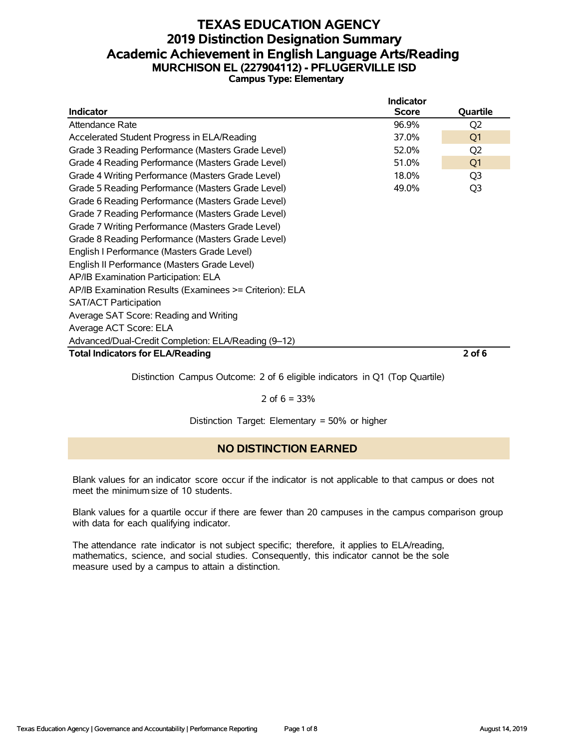# **TEXAS EDUCATION AGENCY 2019 Distinction Designation Summary Academic Achievement in English Language Arts/Reading MURCHISON EL (227904112) - PFLUGERVILLE ISD Campus Type: Elementary**

|                                                         | <b>Indicator</b> |                |
|---------------------------------------------------------|------------------|----------------|
| <b>Indicator</b>                                        | <b>Score</b>     | Quartile       |
| Attendance Rate                                         | 96.9%            | Q <sub>2</sub> |
| Accelerated Student Progress in ELA/Reading             | 37.0%            | Q <sub>1</sub> |
| Grade 3 Reading Performance (Masters Grade Level)       | 52.0%            | Q <sub>2</sub> |
| Grade 4 Reading Performance (Masters Grade Level)       | 51.0%            | Q <sub>1</sub> |
| Grade 4 Writing Performance (Masters Grade Level)       | 18.0%            | Q <sub>3</sub> |
| Grade 5 Reading Performance (Masters Grade Level)       | 49.0%            | Q <sub>3</sub> |
| Grade 6 Reading Performance (Masters Grade Level)       |                  |                |
| Grade 7 Reading Performance (Masters Grade Level)       |                  |                |
| Grade 7 Writing Performance (Masters Grade Level)       |                  |                |
| Grade 8 Reading Performance (Masters Grade Level)       |                  |                |
| English I Performance (Masters Grade Level)             |                  |                |
| English II Performance (Masters Grade Level)            |                  |                |
| AP/IB Examination Participation: ELA                    |                  |                |
| AP/IB Examination Results (Examinees >= Criterion): ELA |                  |                |
| <b>SAT/ACT Participation</b>                            |                  |                |
| Average SAT Score: Reading and Writing                  |                  |                |
| Average ACT Score: ELA                                  |                  |                |
| Advanced/Dual-Credit Completion: ELA/Reading (9-12)     |                  |                |
| <b>Total Indicators for ELA/Reading</b>                 |                  | $2$ of 6       |
|                                                         |                  |                |

Distinction Campus Outcome: 2 of 6 eligible indicators in Q1 (Top Quartile)

2 of  $6 = 33%$ 

Distinction Target: Elementary = 50% or higher

# **NO DISTINCTION EARNED**

Blank values for an indicator score occur if the indicator is not applicable to that campus or does not meet the minimum size of 10 students.

Blank values for a quartile occur if there are fewer than 20 campuses in the campus comparison group with data for each qualifying indicator.

The attendance rate indicator is not subject specific; therefore, it applies to ELA/reading, mathematics, science, and social studies. Consequently, this indicator cannot be the sole measure used by a campus to attain a distinction.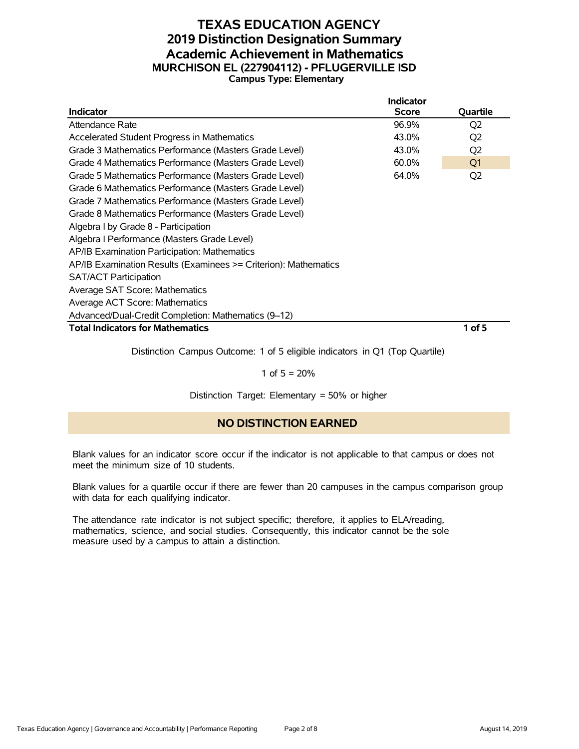#### **TEXAS EDUCATION AGENCY 2019 Distinction Designation Summary Academic Achievement in Mathematics MURCHISON EL (227904112) - PFLUGERVILLE ISD Campus Type: Elementary**

|                                                                 | <b>Indicator</b> |                |
|-----------------------------------------------------------------|------------------|----------------|
| <b>Indicator</b>                                                | <b>Score</b>     | Quartile       |
| Attendance Rate                                                 | 96.9%            | Q <sub>2</sub> |
| Accelerated Student Progress in Mathematics                     | 43.0%            | Q <sub>2</sub> |
| Grade 3 Mathematics Performance (Masters Grade Level)           | 43.0%            | Q <sub>2</sub> |
| Grade 4 Mathematics Performance (Masters Grade Level)           | 60.0%            | Q1             |
| Grade 5 Mathematics Performance (Masters Grade Level)           | 64.0%            | Q <sub>2</sub> |
| Grade 6 Mathematics Performance (Masters Grade Level)           |                  |                |
| Grade 7 Mathematics Performance (Masters Grade Level)           |                  |                |
| Grade 8 Mathematics Performance (Masters Grade Level)           |                  |                |
| Algebra I by Grade 8 - Participation                            |                  |                |
| Algebra I Performance (Masters Grade Level)                     |                  |                |
| AP/IB Examination Participation: Mathematics                    |                  |                |
| AP/IB Examination Results (Examinees >= Criterion): Mathematics |                  |                |
| <b>SAT/ACT Participation</b>                                    |                  |                |
| Average SAT Score: Mathematics                                  |                  |                |
| Average ACT Score: Mathematics                                  |                  |                |
| Advanced/Dual-Credit Completion: Mathematics (9-12)             |                  |                |
| <b>Total Indicators for Mathematics</b>                         |                  | $1$ of 5       |

Distinction Campus Outcome: 1 of 5 eligible indicators in Q1 (Top Quartile)

1 of  $5 = 20%$ 

Distinction Target: Elementary = 50% or higher

#### **NO DISTINCTION EARNED**

Blank values for an indicator score occur if the indicator is not applicable to that campus or does not meet the minimum size of 10 students.

Blank values for a quartile occur if there are fewer than 20 campuses in the campus comparison group with data for each qualifying indicator.

The attendance rate indicator is not subject specific; therefore, it applies to ELA/reading, mathematics, science, and social studies. Consequently, this indicator cannot be the sole measure used by a campus to attain a distinction.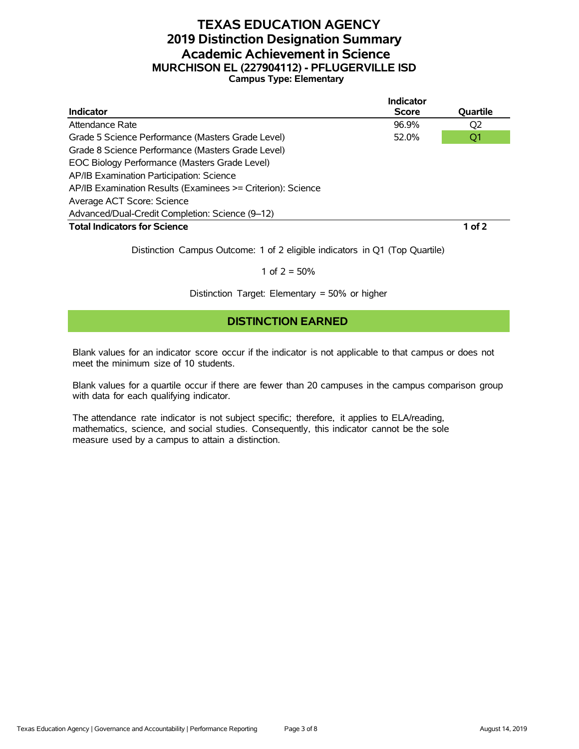## **TEXAS EDUCATION AGENCY 2019 Distinction Designation Summary Academic Achievement in Science MURCHISON EL (227904112) - PFLUGERVILLE ISD Campus Type: Elementary**

|                                                             | <b>Indicator</b> |          |
|-------------------------------------------------------------|------------------|----------|
| <b>Indicator</b>                                            | <b>Score</b>     | Quartile |
| Attendance Rate                                             | 96.9%            | Q2       |
| Grade 5 Science Performance (Masters Grade Level)           | 52.0%            | Q1       |
| Grade 8 Science Performance (Masters Grade Level)           |                  |          |
| EOC Biology Performance (Masters Grade Level)               |                  |          |
| AP/IB Examination Participation: Science                    |                  |          |
| AP/IB Examination Results (Examinees >= Criterion): Science |                  |          |
| Average ACT Score: Science                                  |                  |          |
| Advanced/Dual-Credit Completion: Science (9-12)             |                  |          |
| <b>Total Indicators for Science</b>                         |                  | $1$ of 2 |

Distinction Campus Outcome: 1 of 2 eligible indicators in Q1 (Top Quartile)

1 of  $2 = 50%$ 

Distinction Target: Elementary = 50% or higher

#### **DISTINCTION EARNED**

Blank values for an indicator score occur if the indicator is not applicable to that campus or does not meet the minimum size of 10 students.

Blank values for a quartile occur if there are fewer than 20 campuses in the campus comparison group with data for each qualifying indicator.

The attendance rate indicator is not subject specific; therefore, it applies to ELA/reading, mathematics, science, and social studies. Consequently, this indicator cannot be the sole measure used by a campus to attain a distinction.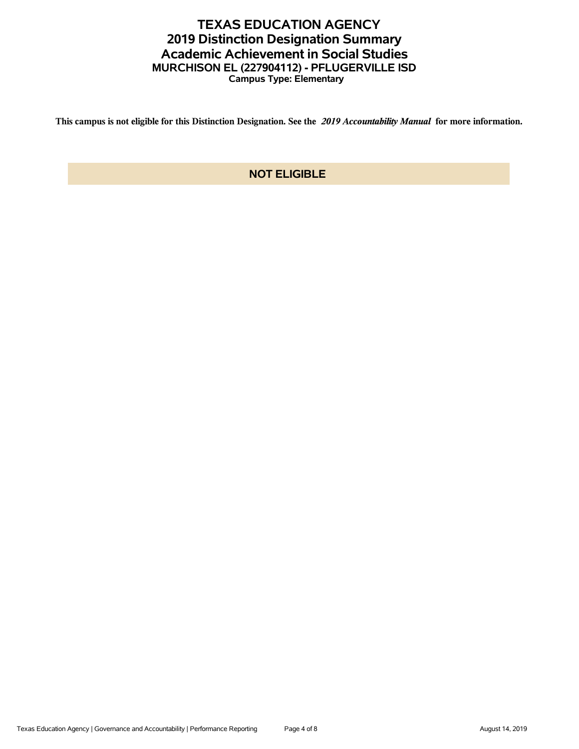# **TEXAS EDUCATION AGENCY 2019 Distinction Designation Summary Academic Achievement in Social Studies MURCHISON EL (227904112) - PFLUGERVILLE ISD Campus Type: Elementary**

**This campus is not eligible for this Distinction Designation. See the** *2019 Accountability Manual* **for more information.**

# **NOT ELIGIBLE**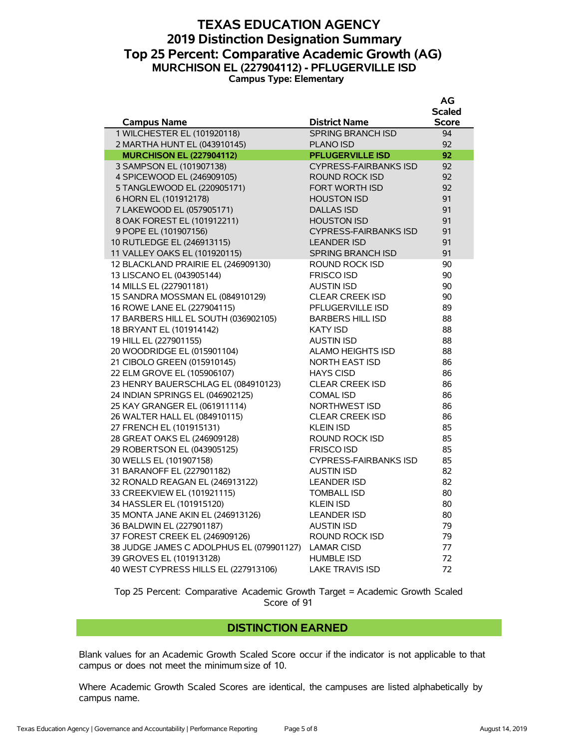### **TEXAS EDUCATION AGENCY 2019 Distinction Designation Summary Top 25 Percent: Comparative Academic Growth (AG) MURCHISON EL (227904112) - PFLUGERVILLE ISD Campus Type: Elementary**

**AG**

|                                          |                              | Αv           |
|------------------------------------------|------------------------------|--------------|
|                                          |                              | Scaled       |
| <b>Campus Name</b>                       | <b>District Name</b>         | <b>Score</b> |
| 1 WILCHESTER EL (101920118)              | <b>SPRING BRANCH ISD</b>     | 94           |
| 2 MARTHA HUNT EL (043910145)             | <b>PLANO ISD</b>             | 92           |
| <b>MURCHISON EL (227904112)</b>          | <b>PFLUGERVILLE ISD</b>      | 92           |
| 3 SAMPSON EL (101907138)                 | <b>CYPRESS-FAIRBANKS ISD</b> | 92           |
| 4 SPICEWOOD EL (246909105)               | ROUND ROCK ISD               | 92           |
| 5 TANGLEWOOD EL (220905171)              | <b>FORT WORTH ISD</b>        | 92           |
| 6 HORN EL (101912178)                    | <b>HOUSTON ISD</b>           | 91           |
| 7 LAKEWOOD EL (057905171)                | <b>DALLAS ISD</b>            | 91           |
| 8 OAK FOREST EL (101912211)              | <b>HOUSTON ISD</b>           | 91           |
| 9 POPE EL (101907156)                    | <b>CYPRESS-FAIRBANKS ISD</b> | 91           |
| 10 RUTLEDGE EL (246913115)               | <b>LEANDER ISD</b>           | 91           |
| 11 VALLEY OAKS EL (101920115)            | <b>SPRING BRANCH ISD</b>     | 91           |
| 12 BLACKLAND PRAIRIE EL (246909130)      | ROUND ROCK ISD               | 90           |
| 13 LISCANO EL (043905144)                | <b>FRISCO ISD</b>            | 90           |
| 14 MILLS EL (227901181)                  | <b>AUSTIN ISD</b>            | 90           |
| 15 SANDRA MOSSMAN EL (084910129)         | <b>CLEAR CREEK ISD</b>       | 90           |
| 16 ROWE LANE EL (227904115)              | PFLUGERVILLE ISD             | 89           |
| 17 BARBERS HILL EL SOUTH (036902105)     | <b>BARBERS HILL ISD</b>      | 88           |
| 18 BRYANT EL (101914142)                 | <b>KATY ISD</b>              | 88           |
| 19 HILL EL (227901155)                   | <b>AUSTIN ISD</b>            | 88           |
| 20 WOODRIDGE EL (015901104)              | <b>ALAMO HEIGHTS ISD</b>     | 88           |
| 21 CIBOLO GREEN (015910145)              | <b>NORTH EAST ISD</b>        | 86           |
| 22 ELM GROVE EL (105906107)              | <b>HAYS CISD</b>             | 86           |
| 23 HENRY BAUERSCHLAG EL (084910123)      | <b>CLEAR CREEK ISD</b>       | 86           |
| 24 INDIAN SPRINGS EL (046902125)         | <b>COMAL ISD</b>             | 86           |
| 25 KAY GRANGER EL (061911114)            | NORTHWEST ISD                | 86           |
| 26 WALTER HALL EL (084910115)            | <b>CLEAR CREEK ISD</b>       | 86           |
| 27 FRENCH EL (101915131)                 | <b>KLEIN ISD</b>             | 85           |
| 28 GREAT OAKS EL (246909128)             | ROUND ROCK ISD               | 85           |
| 29 ROBERTSON EL (043905125)              | <b>FRISCO ISD</b>            | 85           |
| 30 WELLS EL (101907158)                  | <b>CYPRESS-FAIRBANKS ISD</b> | 85           |
| 31 BARANOFF EL (227901182)               | <b>AUSTIN ISD</b>            | 82           |
| 32 RONALD REAGAN EL (246913122)          | <b>LEANDER ISD</b>           | 82           |
| 33 CREEKVIEW EL (101921115)              | <b>TOMBALL ISD</b>           | 80           |
| 34 HASSLER EL (101915120)                | <b>KLEIN ISD</b>             | 80           |
| 35 MONTA JANE AKIN EL (246913126)        | <b>LEANDER ISD</b>           | 80           |
| 36 BALDWIN EL (227901187)                | <b>AUSTIN ISD</b>            | 79           |
| 37 FOREST CREEK EL (246909126)           | ROUND ROCK ISD               | 79           |
| 38 JUDGE JAMES C ADOLPHUS EL (079901127) | <b>LAMAR CISD</b>            | 77           |
| 39 GROVES EL (101913128)                 | <b>HUMBLE ISD</b>            | 72           |
| 40 WEST CYPRESS HILLS EL (227913106)     | <b>LAKE TRAVIS ISD</b>       | 72           |

Top 25 Percent: Comparative Academic Growth Target = Academic Growth Scaled Score of 91

#### **DISTINCTION EARNED**

Blank values for an Academic Growth Scaled Score occur if the indicator is not applicable to that campus or does not meet the minimum size of 10.

Where Academic Growth Scaled Scores are identical, the campuses are listed alphabetically by campus name.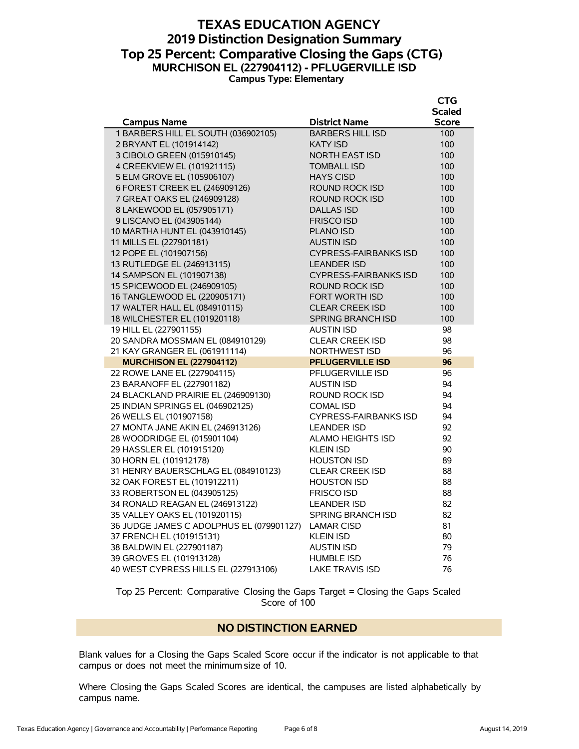# **TEXAS EDUCATION AGENCY 2019 Distinction Designation Summary Top 25 Percent: Comparative Closing the Gaps (CTG) MURCHISON EL (227904112) - PFLUGERVILLE ISD Campus Type: Elementary**

|                                          |                              | CTG           |
|------------------------------------------|------------------------------|---------------|
|                                          |                              | <b>Scaled</b> |
| <b>Campus Name</b>                       | <b>District Name</b>         | <b>Score</b>  |
| 1 BARBERS HILL EL SOUTH (036902105)      | <b>BARBERS HILL ISD</b>      | 100           |
| 2 BRYANT EL (101914142)                  | <b>KATY ISD</b>              | 100           |
| 3 CIBOLO GREEN (015910145)               | <b>NORTH EAST ISD</b>        | 100           |
| 4 CREEKVIEW EL (101921115)               | <b>TOMBALL ISD</b>           | 100           |
| 5 ELM GROVE EL (105906107)               | <b>HAYS CISD</b>             | 100           |
| 6 FOREST CREEK EL (246909126)            | ROUND ROCK ISD               | 100           |
| 7 GREAT OAKS EL (246909128)              | ROUND ROCK ISD               | 100           |
| 8 LAKEWOOD EL (057905171)                | <b>DALLAS ISD</b>            | 100           |
| 9 LISCANO EL (043905144)                 | <b>FRISCO ISD</b>            | 100           |
| 10 MARTHA HUNT EL (043910145)            | PLANO ISD                    | 100           |
| 11 MILLS EL (227901181)                  | <b>AUSTIN ISD</b>            | 100           |
| 12 POPE EL (101907156)                   | <b>CYPRESS-FAIRBANKS ISD</b> | 100           |
| 13 RUTLEDGE EL (246913115)               | <b>LEANDER ISD</b>           | 100           |
| 14 SAMPSON EL (101907138)                | <b>CYPRESS-FAIRBANKS ISD</b> | 100           |
| 15 SPICEWOOD EL (246909105)              | ROUND ROCK ISD               | 100           |
| 16 TANGLEWOOD EL (220905171)             | <b>FORT WORTH ISD</b>        | 100           |
| 17 WALTER HALL EL (084910115)            | <b>CLEAR CREEK ISD</b>       | 100           |
| 18 WILCHESTER EL (101920118)             | <b>SPRING BRANCH ISD</b>     | 100           |
| 19 HILL EL (227901155)                   | <b>AUSTIN ISD</b>            | 98            |
| 20 SANDRA MOSSMAN EL (084910129)         | <b>CLEAR CREEK ISD</b>       | 98            |
| 21 KAY GRANGER EL (061911114)            | NORTHWEST ISD                | 96            |
| <b>MURCHISON EL (227904112)</b>          | <b>PFLUGERVILLE ISD</b>      | 96            |
| 22 ROWE LANE EL (227904115)              | <b>PFLUGERVILLE ISD</b>      | 96            |
| 23 BARANOFF EL (227901182)               | <b>AUSTIN ISD</b>            | 94            |
| 24 BLACKLAND PRAIRIE EL (246909130)      | <b>ROUND ROCK ISD</b>        | 94            |
| 25 INDIAN SPRINGS EL (046902125)         | <b>COMAL ISD</b>             | 94            |
| 26 WELLS EL (101907158)                  | <b>CYPRESS-FAIRBANKS ISD</b> | 94            |
| 27 MONTA JANE AKIN EL (246913126)        | <b>LEANDER ISD</b>           | 92            |
| 28 WOODRIDGE EL (015901104)              | <b>ALAMO HEIGHTS ISD</b>     | 92            |
| 29 HASSLER EL (101915120)                | <b>KLEIN ISD</b>             | 90            |
| 30 HORN EL (101912178)                   | <b>HOUSTON ISD</b>           | 89            |
| 31 HENRY BAUERSCHLAG EL (084910123)      | <b>CLEAR CREEK ISD</b>       | 88            |
| 32 OAK FOREST EL (101912211)             | <b>HOUSTON ISD</b>           | 88            |
| 33 ROBERTSON EL (043905125)              | <b>FRISCO ISD</b>            | 88            |
| 34 RONALD REAGAN EL (246913122)          | <b>LEANDER ISD</b>           | 82            |
| 35 VALLEY OAKS EL (101920115)            | <b>SPRING BRANCH ISD</b>     | 82            |
| 36 JUDGE JAMES C ADOLPHUS EL (079901127) | <b>LAMAR CISD</b>            | 81            |
| 37 FRENCH EL (101915131)                 | <b>KLEIN ISD</b>             | 80            |
| 38 BALDWIN EL (227901187)                | <b>AUSTIN ISD</b>            | 79            |
| 39 GROVES EL (101913128)                 | <b>HUMBLE ISD</b>            | 76            |
| 40 WEST CYPRESS HILLS EL (227913106)     | <b>LAKE TRAVIS ISD</b>       | 76            |

Top 25 Percent: Comparative Closing the Gaps Target = Closing the Gaps Scaled Score of 100

#### **NO DISTINCTION EARNED**

Blank values for a Closing the Gaps Scaled Score occur if the indicator is not applicable to that campus or does not meet the minimum size of 10.

Where Closing the Gaps Scaled Scores are identical, the campuses are listed alphabetically by campus name.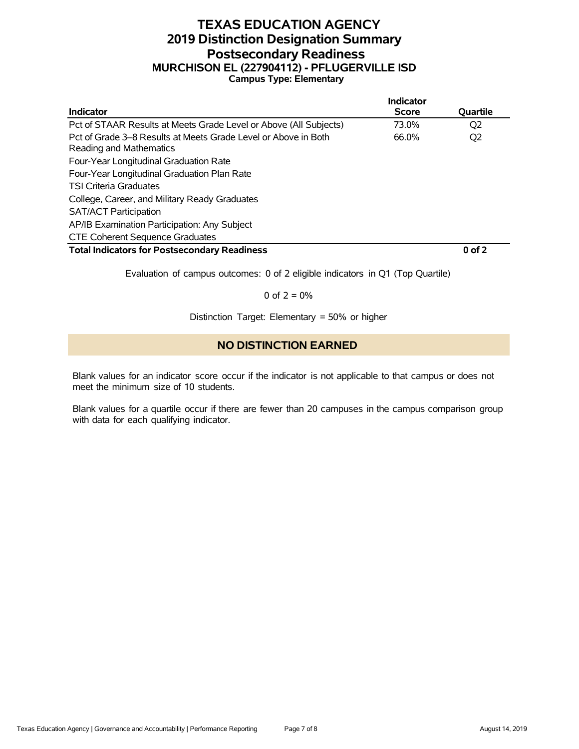# **TEXAS EDUCATION AGENCY 2019 Distinction Designation Summary Postsecondary Readiness MURCHISON EL (227904112) - PFLUGERVILLE ISD Campus Type: Elementary**

|                                                                                           | Indicator    |                |
|-------------------------------------------------------------------------------------------|--------------|----------------|
| <b>Indicator</b>                                                                          | <b>Score</b> | Quartile       |
| Pct of STAAR Results at Meets Grade Level or Above (All Subjects)                         | 73.0%        | O <sub>2</sub> |
| Pct of Grade 3–8 Results at Meets Grade Level or Above in Both<br>Reading and Mathematics | 66.0%        | Q <sub>2</sub> |
| Four-Year Longitudinal Graduation Rate                                                    |              |                |
| Four-Year Longitudinal Graduation Plan Rate                                               |              |                |
| <b>TSI Criteria Graduates</b>                                                             |              |                |
| College, Career, and Military Ready Graduates                                             |              |                |
| <b>SAT/ACT Participation</b>                                                              |              |                |
| AP/IB Examination Participation: Any Subject                                              |              |                |
| <b>CTE Coherent Sequence Graduates</b>                                                    |              |                |
| <b>Total Indicators for Postsecondary Readiness</b>                                       |              | $0$ of $2$     |

Evaluation of campus outcomes: 0 of 2 eligible indicators in Q1 (Top Quartile)

0 of  $2 = 0%$ 

Distinction Target: Elementary = 50% or higher

# **NO DISTINCTION EARNED**

Blank values for an indicator score occur if the indicator is not applicable to that campus or does not meet the minimum size of 10 students.

Blank values for a quartile occur if there are fewer than 20 campuses in the campus comparison group with data for each qualifying indicator.